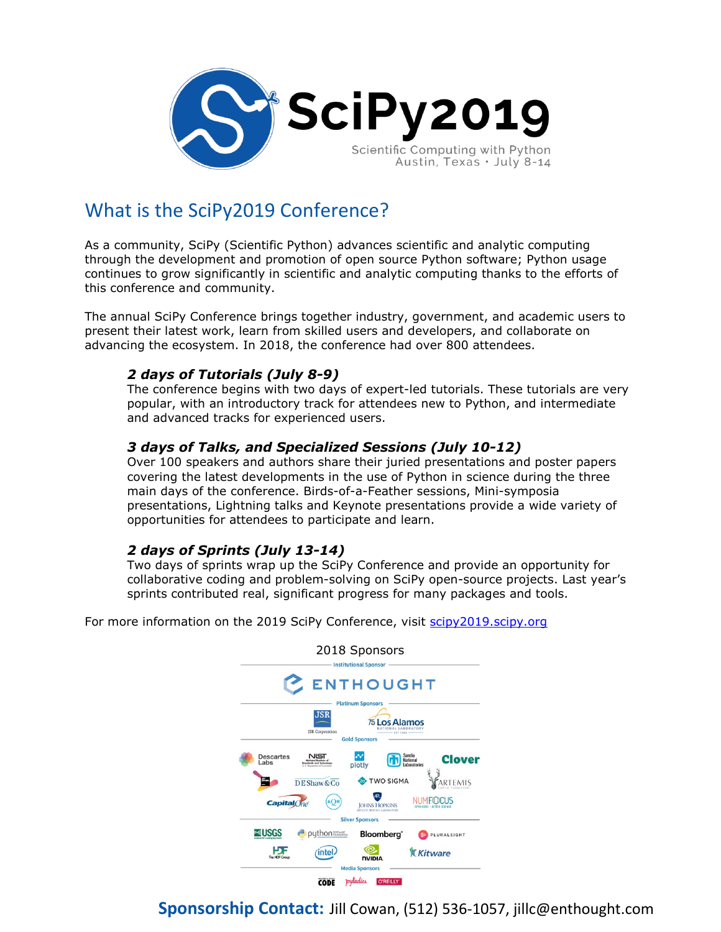

# What is the SciPy2019 Conference?

As a community, SciPy (Scientific Python) advances scientific and analytic computing through the development and promotion of open source Python software; Python usage continues to grow significantly in scientific and analytic computing thanks to the efforts of this conference and community.

The annual SciPy Conference brings together industry, government, and academic users to present their latest work, learn from skilled users and developers, and collaborate on advancing the ecosystem. In 2018, the conference had over 800 attendees.

## *2 days of Tutorials (July 8-9)*

The conference begins with two days of expert-led tutorials. These tutorials are very popular, with an introductory track for attendees new to Python, and intermediate and advanced tracks for experienced users.

## *3 days of Talks, and Specialized Sessions (July 10-12)*

Over 100 speakers and authors share their juried presentations and poster papers covering the latest developments in the use of Python in science during the three main days of the conference. Birds-of-a-Feather sessions, Mini-symposia presentations, Lightning talks and Keynote presentations provide a wide variety of opportunities for attendees to participate and learn.

## *2 days of Sprints (July 13-14)*

Two days of sprints wrap up the SciPy Conference and provide an opportunity for collaborative coding and problem-solving on SciPy open-source projects. Last year's sprints contributed real, significant progress for many packages and tools.

For more information on the 2019 SciPy Conference, visit [scipy2019.scipy.org](https://scipy2018.scipy.org/ehome/index.php?eventid=299527&)



**Sponsorship Contact:** Jill Cowan, (512) 536-1057, jillc@enthought.com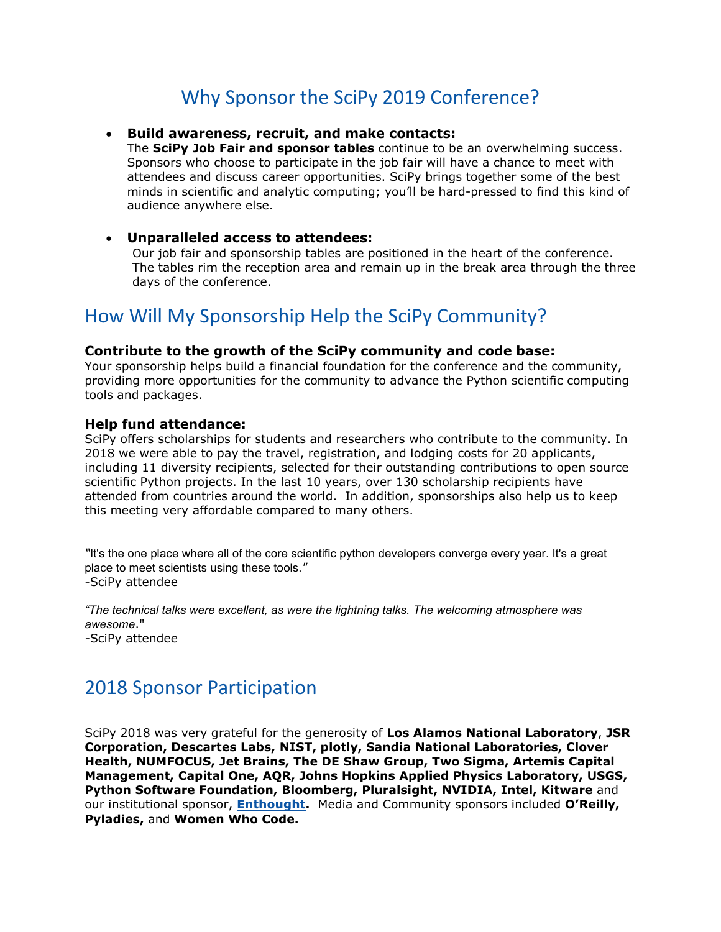# Why Sponsor the SciPy 2019 Conference?

#### • **Build awareness, recruit, and make contacts:**

The **SciPy Job Fair and sponsor tables** continue to be an overwhelming success. Sponsors who choose to participate in the job fair will have a chance to meet with attendees and discuss career opportunities. SciPy brings together some of the best minds in scientific and analytic computing; you'll be hard-pressed to find this kind of audience anywhere else.

#### • **Unparalleled access to attendees:**

Our job fair and sponsorship tables are positioned in the heart of the conference. The tables rim the reception area and remain up in the break area through the three days of the conference.

# How Will My Sponsorship Help the SciPy Community?

#### **Contribute to the growth of the SciPy community and code base:**

Your sponsorship helps build a financial foundation for the conference and the community, providing more opportunities for the community to advance the Python scientific computing tools and packages.

#### **Help fund attendance:**

SciPy offers scholarships for students and researchers who contribute to the community. In 2018 we were able to pay the travel, registration, and lodging costs for 20 applicants, including 11 diversity recipients, selected for their outstanding contributions to open source scientific Python projects. In the last 10 years, over 130 scholarship recipients have attended from countries around the world. In addition, sponsorships also help us to keep this meeting very affordable compared to many others.

*"*It's the one place where all of the core scientific python developers converge every year. It's a great place to meet scientists using these tools.*" -*SciPy attendee

*"The technical talks were excellent, as were the lightning talks. The welcoming atmosphere was awesome*."

*-*SciPy attendee

## 2018 Sponsor Participation

SciPy 2018 was very grateful for the generosity of **Los Alamos National Laboratory**, **JSR Corporation, Descartes Labs, NIST, plotly, Sandia National Laboratories, Clover Health, NUMFOCUS, Jet Brains, The DE Shaw Group, Two Sigma, Artemis Capital Management, Capital One, AQR, Johns Hopkins Applied Physics Laboratory, USGS, Python Software Foundation, Bloomberg, Pluralsight, NVIDIA, Intel, Kitware** and our institutional sponsor, **[Enthought.](https://www.enthought.com/)** Media and Community sponsors included **O'Reilly, Pyladies,** and **Women Who Code.**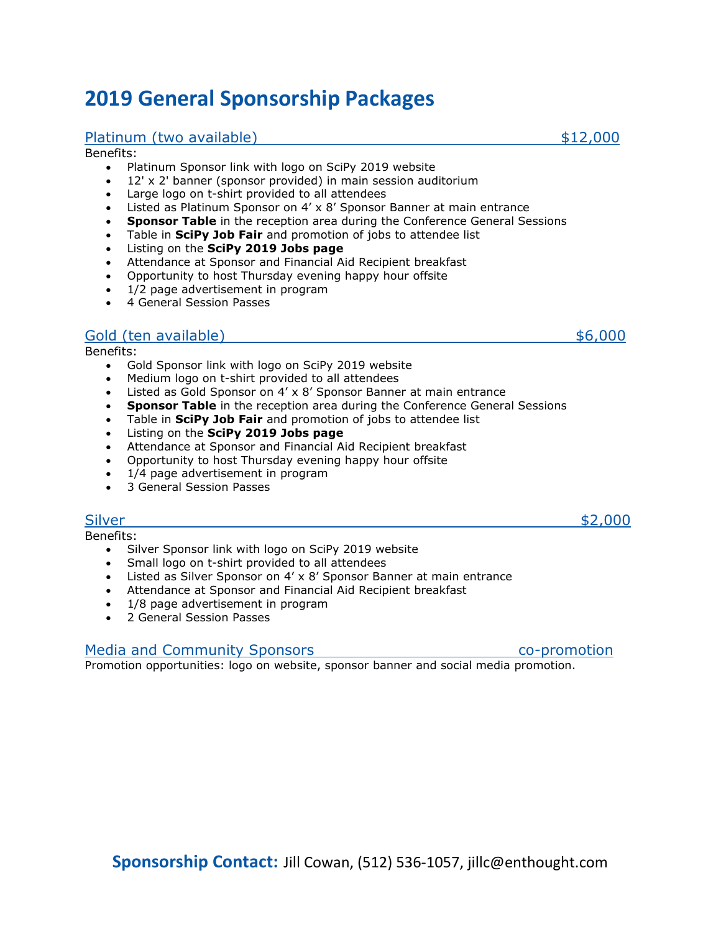# **2019 General Sponsorship Packages**

### Platinum (two available)  $$12,000$

#### Benefits:

- Platinum Sponsor link with logo on SciPy 2019 website
- 12' x 2' banner (sponsor provided) in main session auditorium
- Large logo on t-shirt provided to all attendees
- Listed as Platinum Sponsor on 4' x 8' Sponsor Banner at main entrance
- **Sponsor Table** in the reception area during the Conference General Sessions
- Table in **SciPy Job Fair** and promotion of jobs to attendee list
- Listing on the **SciPy 2019 Jobs page**
- Attendance at Sponsor and Financial Aid Recipient breakfast
- Opportunity to host Thursday evening happy hour offsite
- 1/2 page advertisement in program
- 4 General Session Passes

## Gold (ten available) \$6,000

Benefits:

- Gold Sponsor link with logo on SciPy 2019 website
- Medium logo on t-shirt provided to all attendees
- Listed as Gold Sponsor on 4' x 8' Sponsor Banner at main entrance
- **Sponsor Table** in the reception area during the Conference General Sessions
- Table in **SciPy Job Fair** and promotion of jobs to attendee list
- Listing on the **SciPy 2019 Jobs page**
- Attendance at Sponsor and Financial Aid Recipient breakfast
- Opportunity to host Thursday evening happy hour offsite
- 1/4 page advertisement in program
- 3 General Session Passes

## Silver \$2,000

Benefits:

- Silver Sponsor link with logo on SciPy 2019 website
- Small logo on t-shirt provided to all attendees
- Listed as Silver Sponsor on 4' x 8' Sponsor Banner at main entrance
- Attendance at Sponsor and Financial Aid Recipient breakfast
- 1/8 page advertisement in program
- 2 General Session Passes

## Media and Community Sponsors **co-promotion**

Promotion opportunities: logo on website, sponsor banner and social media promotion.